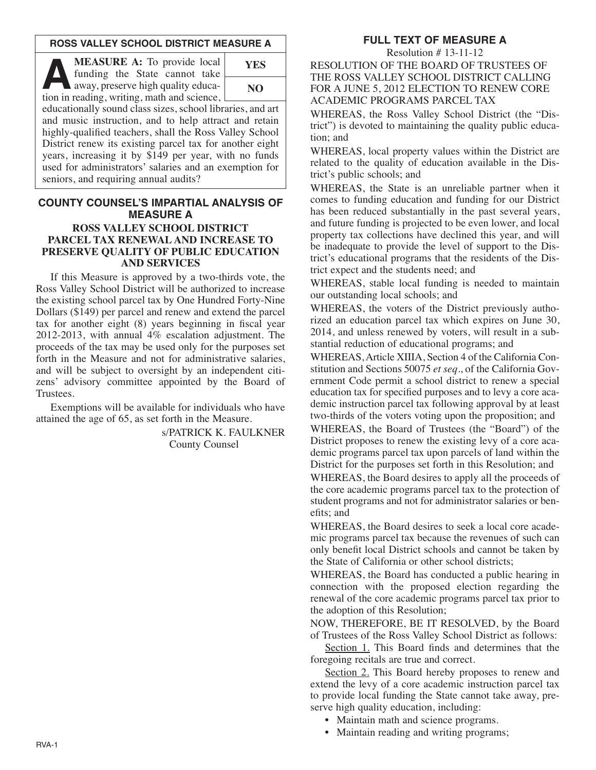# **ROSS VALLEY SCHOOL DISTRICT MEASURE A**

**A MEASURE A:** To provide local<br>
funding the State cannot take<br>
away, preserve high quality educa-<br>
tion in reading writing math and science funding the State cannot take tion in reading, writing, math and science,



educationally sound class sizes, school libraries, and art and music instruction, and to help attract and retain highly-qualified teachers, shall the Ross Valley School District renew its existing parcel tax for another eight years, increasing it by \$149 per year, with no funds used for administrators' salaries and an exemption for seniors, and requiring annual audits?

# **COUNTY COUNSEL'S IMPARTIAL ANALYSIS OF MEASURE A**

### **ROSS VALLEY SCHOOL DISTRICT PARCEL TAX RENEWAL AND INCREASE TO PRESERVE QUALITY OF PUBLIC EDUCATION AND SERVICES**

If this Measure is approved by a two-thirds vote, the Ross Valley School District will be authorized to increase the existing school parcel tax by One Hundred Forty-Nine Dollars (\$149) per parcel and renew and extend the parcel tax for another eight (8) years beginning in fiscal year 2012-2013, with annual 4% escalation adjustment. The proceeds of the tax may be used only for the purposes set forth in the Measure and not for administrative salaries, and will be subject to oversight by an independent citizens' advisory committee appointed by the Board of Trustees.

Exemptions will be available for individuals who have attained the age of 65, as set forth in the Measure.

> s/PATRICK K. FAULKNER County Counsel

# **FULL TEXT OF MEASURE A**

Resolution # 13-11-12

RESOLUTION OF THE BOARD OF TRUSTEES OF THE ROSS VALLEY SCHOOL DISTRICT CALLING FOR A JUNE 5, 2012 ELECTION TO RENEW CORE ACADEMIC PROGRAMS PARCEL TAX

WHEREAS, the Ross Valley School District (the "District") is devoted to maintaining the quality public education; and

WHEREAS, local property values within the District are related to the quality of education available in the District's public schools; and

WHEREAS, the State is an unreliable partner when it comes to funding education and funding for our District has been reduced substantially in the past several years, and future funding is projected to be even lower, and local property tax collections have declined this year, and will be inadequate to provide the level of support to the District's educational programs that the residents of the District expect and the students need; and

WHEREAS, stable local funding is needed to maintain our outstanding local schools; and

WHEREAS, the voters of the District previously authorized an education parcel tax which expires on June 30, 2014, and unless renewed by voters, will result in a substantial reduction of educational programs; and

WHEREAS, Article XIIIA, Section 4 of the California Con stitution and Sections 50075 *et seq*., of the California Gov ernment Code permit a school district to renew a special education tax for specified purposes and to levy a core academic instruction parcel tax following approval by at least two-thirds of the voters voting upon the proposition; and WHEREAS, the Board of Trustees (the "Board") of the District proposes to renew the existing levy of a core academic programs parcel tax upon parcels of land within the District for the purposes set forth in this Resolution; and

WHEREAS, the Board desires to apply all the proceeds of the core academic programs parcel tax to the protection of student programs and not for administrator salaries or benefits; and

WHEREAS, the Board desires to seek a local core academic programs parcel tax because the revenues of such can only benefit local District schools and cannot be taken by the State of California or other school districts;

WHEREAS, the Board has conducted a public hearing in connection with the proposed election regarding the renewal of the core academic programs parcel tax prior to the adoption of this Resolution;

NOW, THEREFORE, BE IT RESOLVED, by the Board of Trustees of the Ross Valley School District as follows:

Section 1. This Board finds and determines that the foregoing recitals are true and correct.

Section 2. This Board hereby proposes to renew and extend the levy of a core academic instruction parcel tax to provide local funding the State cannot take away, preserve high quality education, including:

- Maintain math and science programs.
- Maintain reading and writing programs;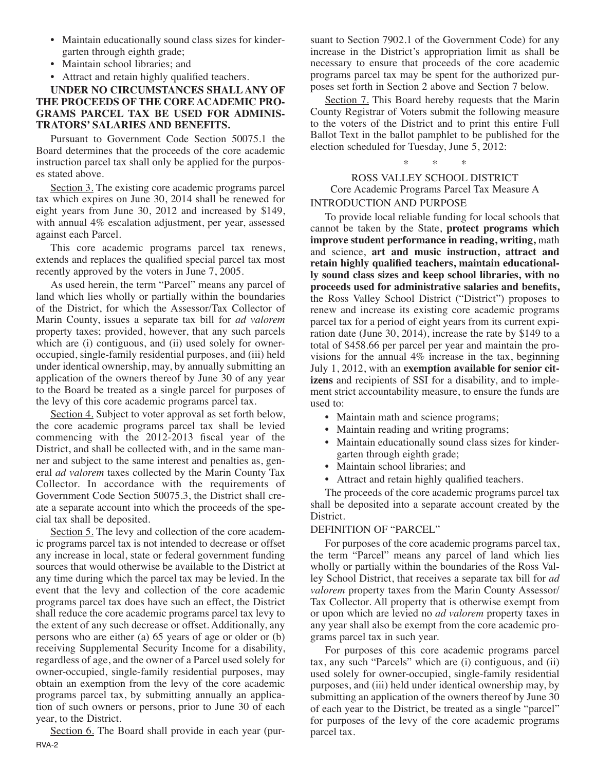- Maintain educationally sound class sizes for kindergarten through eighth grade;
- Maintain school libraries; and
- Attract and retain highly qualified teachers.

# **UNDER NO CIRCUMSTANCES SHALL ANY OF THE PROCEEDS OF THE CORE ACADEMIC PRO-GRAMS PARCEL TAX BE USED FOR ADMINIS-TRATORS' SALARIES AND BENEFITS.**

Pursuant to Government Code Section 50075.1 the Board determines that the proceeds of the core academic instruction parcel tax shall only be applied for the purposes stated above.

Section 3. The existing core academic programs parcel tax which expires on June 30, 2014 shall be renewed for eight years from June 30, 2012 and increased by \$149, with annual 4% escalation adjustment, per year, assessed against each Parcel.

This core academic programs parcel tax renews, extends and replaces the qualified special parcel tax most recently approved by the voters in June 7, 2005.

As used herein, the term "Parcel" means any parcel of land which lies wholly or partially within the boundaries of the District, for which the Assessor/Tax Collector of Marin County, issues a separate tax bill for *ad valorem* property taxes; provided, however, that any such parcels which are (i) contiguous, and (ii) used solely for owneroccupied, single-family residential purposes, and (iii) held under identical ownership, may, by annually submitting an application of the owners thereof by June 30 of any year to the Board be treated as a single parcel for purposes of the levy of this core academic programs parcel tax.

Section 4. Subject to voter approval as set forth below, the core academic programs parcel tax shall be levied commencing with the 2012-2013 fiscal year of the District, and shall be collected with, and in the same manner and subject to the same interest and penalties as, general *ad valorem* taxes collected by the Marin County Tax Collector. In accordance with the requirements of Government Code Section 50075.3, the District shall create a separate account into which the proceeds of the special tax shall be deposited.

Section 5. The levy and collection of the core academic programs parcel tax is not intended to decrease or offset any increase in local, state or federal government funding sources that would otherwise be available to the District at any time during which the parcel tax may be levied. In the event that the levy and collection of the core academic programs parcel tax does have such an effect, the District shall reduce the core academic programs parcel tax levy to the extent of any such decrease or offset. Additionally, any persons who are either (a) 65 years of age or older or (b) receiving Supplemental Security Income for a disability, regardless of age, and the owner of a Parcel used solely for owner-occupied, single-family residential purposes, may obtain an exemption from the levy of the core academic programs parcel tax, by submitting annually an application of such owners or persons, prior to June 30 of each year, to the District.

Section 6. The Board shall provide in each year (pur-RVA-2

suant to Section 7902.1 of the Government Code) for any increase in the District's appropriation limit as shall be necessary to ensure that proceeds of the core academic programs parcel tax may be spent for the authorized purposes set forth in Section 2 above and Section 7 below.

Section 7. This Board hereby requests that the Marin County Registrar of Voters submit the following measure to the voters of the District and to print this entire Full Ballot Text in the ballot pamphlet to be published for the election scheduled for Tuesday, June 5, 2012:

\* \* \*

ROSS VALLEY SCHOOL DISTRICT Core Academic Programs Parcel Tax Measure A INTRODUCTION AND PURPOSE

To provide local reliable funding for local schools that cannot be taken by the State, **protect programs which improve student performance in reading, writing,** math and science, **art and music instruction, attract and retain highly qualified teachers, maintain educationally sound class sizes and keep school libraries, with no proceeds used for administrative salaries and benefits,** the Ross Valley School District ("District") proposes to renew and increase its existing core academic programs parcel tax for a period of eight years from its current expiration date (June 30, 2014), increase the rate by \$149 to a total of \$458.66 per parcel per year and maintain the provisions for the annual 4% increase in the tax, beginning July 1, 2012, with an **exemption available for senior citizens** and recipients of SSI for a disability, and to implement strict accountability measure, to ensure the funds are used to:

- Maintain math and science programs;
- Maintain reading and writing programs;
- Maintain educationally sound class sizes for kindergarten through eighth grade;
- Maintain school libraries; and
- Attract and retain highly qualified teachers.

The proceeds of the core academic programs parcel tax shall be deposited into a separate account created by the District.

## DEFINITION OF "PARCEL"

For purposes of the core academic programs parcel tax, the term "Parcel" means any parcel of land which lies wholly or partially within the boundaries of the Ross Valley School District, that receives a separate tax bill for *ad valorem* property taxes from the Marin County Assessor/ Tax Collector. All property that is otherwise exempt from or upon which are levied no *ad valorem* property taxes in any year shall also be exempt from the core academic programs parcel tax in such year.

For purposes of this core academic programs parcel tax, any such "Parcels" which are (i) contiguous, and (ii) used solely for owner-occupied, single-family residential purposes, and (iii) held under identical ownership may, by submitting an application of the owners thereof by June 30 of each year to the District, be treated as a single "parcel" for purposes of the levy of the core academic programs parcel tax.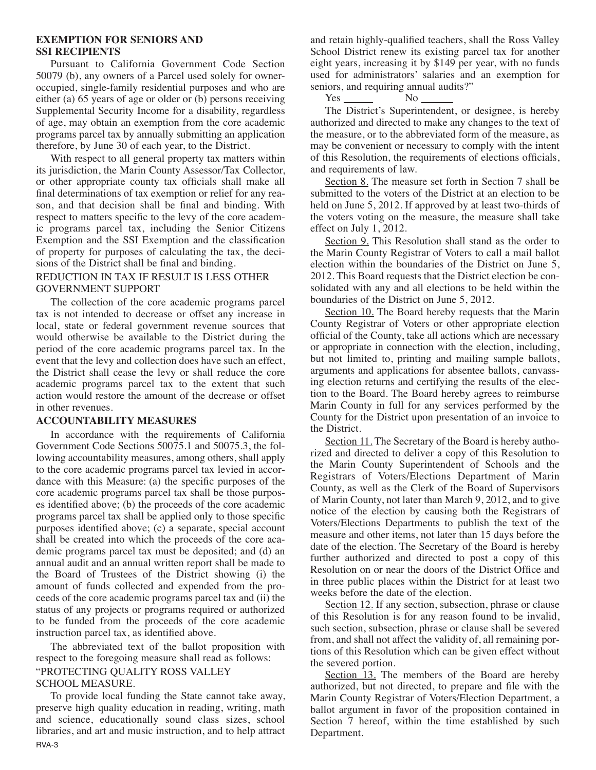#### **EXEMPTION FOR SENIORS AND SSI RECIPIENTS**

Pursuant to California Government Code Section 50079 (b), any owners of a Parcel used solely for owneroccupied, single-family residential purposes and who are either (a) 65 years of age or older or (b) persons receiving Supplemental Security Income for a disability, regardless of age, may obtain an exemption from the core academic programs parcel tax by annually submitting an application therefore, by June 30 of each year, to the District.

With respect to all general property tax matters within its jurisdiction, the Marin County Assessor/Tax Collector, or other appropriate county tax officials shall make all final determinations of tax exemption or relief for any reason, and that decision shall be final and binding. With respect to matters specific to the levy of the core academic programs parcel tax, including the Senior Citizens Exemption and the SSI Exemption and the classification of property for purposes of calculating the tax, the decisions of the District shall be final and binding.

### REDUCTION IN TAX IF RESULT IS LESS OTHER GOVERNMENT SUPPORT

The collection of the core academic programs parcel tax is not intended to decrease or offset any increase in local, state or federal government revenue sources that would otherwise be available to the District during the period of the core academic programs parcel tax. In the event that the levy and collection does have such an effect, the District shall cease the levy or shall reduce the core academic programs parcel tax to the extent that such action would restore the amount of the decrease or offset in other revenues.

#### **ACCOUNTABILITY MEASURES**

In accordance with the requirements of California Government Code Sections 50075.1 and 50075.3, the following accountability measures, among others, shall apply to the core academic programs parcel tax levied in accordance with this Measure: (a) the specific purposes of the core academic programs parcel tax shall be those purposes identified above; (b) the proceeds of the core academic programs parcel tax shall be applied only to those specific purposes identified above; (c) a separate, special account shall be created into which the proceeds of the core academic programs parcel tax must be deposited; and (d) an annual audit and an annual written report shall be made to the Board of Trustees of the District showing (i) the amount of funds collected and expended from the proceeds of the core academic programs parcel tax and (ii) the status of any projects or programs required or authorized to be funded from the proceeds of the core academic instruction parcel tax, as identified above.

The abbreviated text of the ballot proposition with respect to the foregoing measure shall read as follows: "PROTECTING QUALITY ROSS VALLEY SCHOOL MEASURE.

To provide local funding the State cannot take away, preserve high quality education in reading, writing, math and science, educationally sound class sizes, school libraries, and art and music instruction, and to help attract RVA-3

and retain highly-qualified teachers, shall the Ross Valley School District renew its existing parcel tax for another eight years, increasing it by \$149 per year, with no funds used for administrators' salaries and an exemption for seniors, and requiring annual audits?"

Yes No

The District's Superintendent, or designee, is hereby authorized and directed to make any changes to the text of the measure, or to the abbreviated form of the measure, as may be convenient or necessary to comply with the intent of this Resolution, the requirements of elections officials, and requirements of law.

Section 8. The measure set forth in Section 7 shall be submitted to the voters of the District at an election to be held on June 5, 2012. If approved by at least two-thirds of the voters voting on the measure, the measure shall take effect on July 1, 2012.

Section 9. This Resolution shall stand as the order to the Marin County Registrar of Voters to call a mail ballot election within the boundaries of the District on June 5, 2012. This Board requests that the District election be consolidated with any and all elections to be held within the boundaries of the District on June 5, 2012.

Section 10. The Board hereby requests that the Marin County Registrar of Voters or other appropriate election official of the County, take all actions which are necessary or appropriate in connection with the election, including, but not limited to, printing and mailing sample ballots, arguments and applications for absentee ballots, canvassing election returns and certifying the results of the election to the Board. The Board hereby agrees to reimburse Marin County in full for any services performed by the County for the District upon presentation of an invoice to the District.

Section 11. The Secretary of the Board is hereby authorized and directed to deliver a copy of this Resolution to the Marin County Superintendent of Schools and the Registrars of Voters/Elections Department of Marin County, as well as the Clerk of the Board of Supervisors of Marin County, not later than March 9, 2012, and to give notice of the election by causing both the Registrars of Voters/Elections Departments to publish the text of the measure and other items, not later than 15 days before the date of the election. The Secretary of the Board is hereby further authorized and directed to post a copy of this Resolution on or near the doors of the District Office and in three public places within the District for at least two weeks before the date of the election.

Section 12. If any section, subsection, phrase or clause of this Resolution is for any reason found to be invalid, such section, subsection, phrase or clause shall be severed from, and shall not affect the validity of, all remaining portions of this Resolution which can be given effect without the severed portion.

Section 13. The members of the Board are hereby authorized, but not directed, to prepare and file with the Marin County Registrar of Voters/Election Department, a ballot argument in favor of the proposition contained in Section 7 hereof, within the time established by such Department.